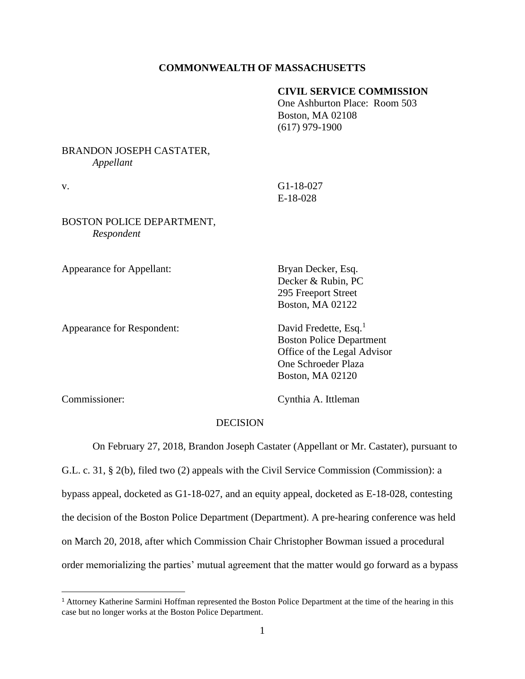## **COMMONWEALTH OF MASSACHUSETTS**

## **CIVIL SERVICE COMMISSION**

One Ashburton Place: Room 503 Boston, MA 02108 (617) 979-1900

# BRANDON JOSEPH CASTATER, *Appellant*

v. G1-18-027 E-18-028

# BOSTON POLICE DEPARTMENT, *Respondent*

Appearance for Appellant: Bryan Decker, Esq.

Appearance for Respondent: David Fredette, Esq.<sup>1</sup>

Decker & Rubin, PC 295 Freeport Street Boston, MA 02122

 Boston Police Department Office of the Legal Advisor One Schroeder Plaza Boston, MA 02120

Commissioner: Cynthia A. Ittleman

## DECISION

On February 27, 2018, Brandon Joseph Castater (Appellant or Mr. Castater), pursuant to

G.L. c. 31, § 2(b), filed two (2) appeals with the Civil Service Commission (Commission): a bypass appeal, docketed as G1-18-027, and an equity appeal, docketed as E-18-028, contesting the decision of the Boston Police Department (Department). A pre-hearing conference was held on March 20, 2018, after which Commission Chair Christopher Bowman issued a procedural order memorializing the parties' mutual agreement that the matter would go forward as a bypass

<sup>&</sup>lt;sup>1</sup> Attorney Katherine Sarmini Hoffman represented the Boston Police Department at the time of the hearing in this case but no longer works at the Boston Police Department.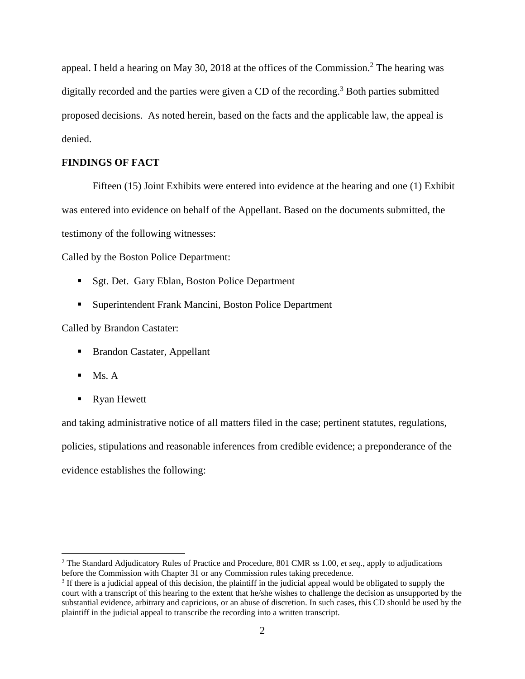appeal. I held a hearing on May 30, 2018 at the offices of the Commission.<sup>2</sup> The hearing was digitally recorded and the parties were given a CD of the recording. <sup>3</sup> Both parties submitted proposed decisions. As noted herein, based on the facts and the applicable law, the appeal is denied.

## **FINDINGS OF FACT**

Fifteen (15) Joint Exhibits were entered into evidence at the hearing and one (1) Exhibit was entered into evidence on behalf of the Appellant. Based on the documents submitted, the testimony of the following witnesses:

Called by the Boston Police Department:

- Sgt. Det. Gary Eblan, Boston Police Department
- Superintendent Frank Mancini, Boston Police Department

Called by Brandon Castater:

- Brandon Castater, Appellant
- $\blacksquare$  Ms. A
- Ryan Hewett

and taking administrative notice of all matters filed in the case; pertinent statutes, regulations, policies, stipulations and reasonable inferences from credible evidence; a preponderance of the evidence establishes the following:

<sup>2</sup> The Standard Adjudicatory Rules of Practice and Procedure, 801 CMR ss 1.00, *et seq*., apply to adjudications before the Commission with Chapter 31 or any Commission rules taking precedence.

<sup>&</sup>lt;sup>3</sup> If there is a judicial appeal of this decision, the plaintiff in the judicial appeal would be obligated to supply the court with a transcript of this hearing to the extent that he/she wishes to challenge the decision as unsupported by the substantial evidence, arbitrary and capricious, or an abuse of discretion. In such cases, this CD should be used by the plaintiff in the judicial appeal to transcribe the recording into a written transcript.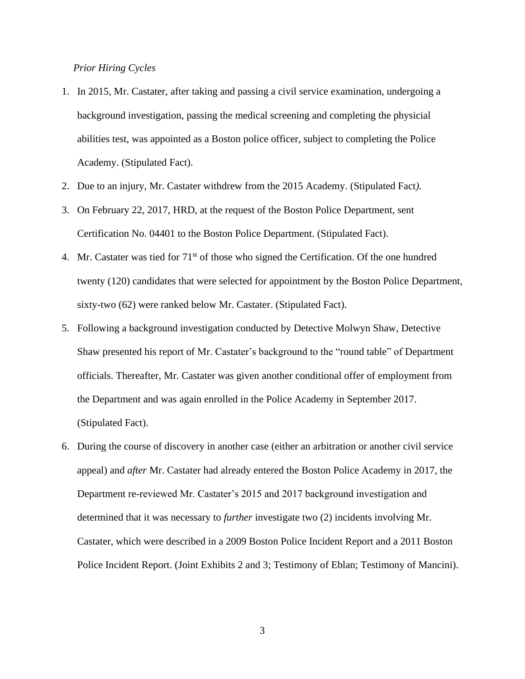#### *Prior Hiring Cycles*

- 1. In 2015, Mr. Castater, after taking and passing a civil service examination, undergoing a background investigation, passing the medical screening and completing the physicial abilities test, was appointed as a Boston police officer, subject to completing the Police Academy. (Stipulated Fact).
- 2. Due to an injury, Mr. Castater withdrew from the 2015 Academy. (Stipulated Fact*).*
- 3. On February 22, 2017, HRD, at the request of the Boston Police Department, sent Certification No. 04401 to the Boston Police Department. (Stipulated Fact).
- 4. Mr. Castater was tied for  $71<sup>st</sup>$  of those who signed the Certification. Of the one hundred twenty (120) candidates that were selected for appointment by the Boston Police Department, sixty-two (62) were ranked below Mr. Castater. (Stipulated Fact).
- 5. Following a background investigation conducted by Detective Molwyn Shaw, Detective Shaw presented his report of Mr. Castater's background to the "round table" of Department officials. Thereafter, Mr. Castater was given another conditional offer of employment from the Department and was again enrolled in the Police Academy in September 2017. (Stipulated Fact).
- 6. During the course of discovery in another case (either an arbitration or another civil service appeal) and *after* Mr. Castater had already entered the Boston Police Academy in 2017, the Department re-reviewed Mr. Castater's 2015 and 2017 background investigation and determined that it was necessary to *further* investigate two (2) incidents involving Mr. Castater, which were described in a 2009 Boston Police Incident Report and a 2011 Boston Police Incident Report. (Joint Exhibits 2 and 3; Testimony of Eblan; Testimony of Mancini).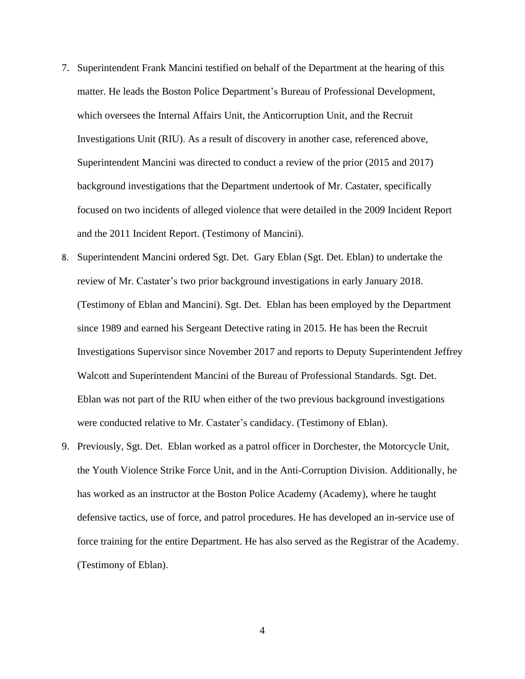- 7. Superintendent Frank Mancini testified on behalf of the Department at the hearing of this matter. He leads the Boston Police Department's Bureau of Professional Development, which oversees the Internal Affairs Unit, the Anticorruption Unit, and the Recruit Investigations Unit (RIU). As a result of discovery in another case, referenced above, Superintendent Mancini was directed to conduct a review of the prior (2015 and 2017) background investigations that the Department undertook of Mr. Castater, specifically focused on two incidents of alleged violence that were detailed in the 2009 Incident Report and the 2011 Incident Report. (Testimony of Mancini).
- 8. Superintendent Mancini ordered Sgt. Det. Gary Eblan (Sgt. Det. Eblan) to undertake the review of Mr. Castater's two prior background investigations in early January 2018. (Testimony of Eblan and Mancini). Sgt. Det. Eblan has been employed by the Department since 1989 and earned his Sergeant Detective rating in 2015. He has been the Recruit Investigations Supervisor since November 2017 and reports to Deputy Superintendent Jeffrey Walcott and Superintendent Mancini of the Bureau of Professional Standards. Sgt. Det. Eblan was not part of the RIU when either of the two previous background investigations were conducted relative to Mr. Castater's candidacy. (Testimony of Eblan).
- 9. Previously, Sgt. Det. Eblan worked as a patrol officer in Dorchester, the Motorcycle Unit, the Youth Violence Strike Force Unit, and in the Anti-Corruption Division. Additionally, he has worked as an instructor at the Boston Police Academy (Academy), where he taught defensive tactics, use of force, and patrol procedures. He has developed an in-service use of force training for the entire Department. He has also served as the Registrar of the Academy. (Testimony of Eblan).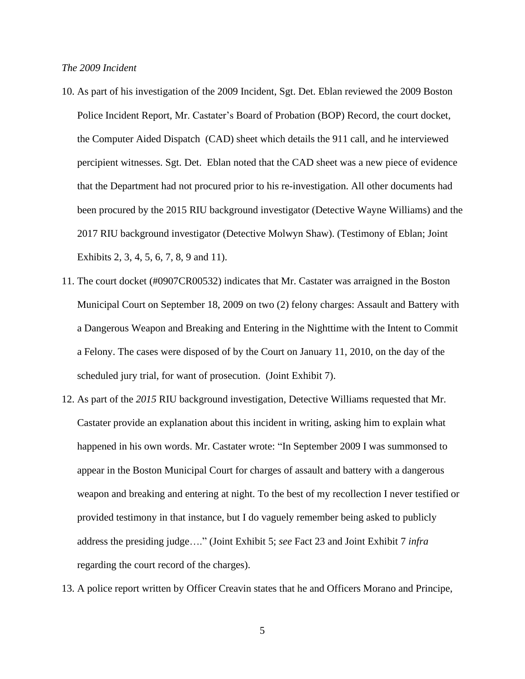### *The 2009 Incident*

- 10. As part of his investigation of the 2009 Incident, Sgt. Det. Eblan reviewed the 2009 Boston Police Incident Report, Mr. Castater's Board of Probation (BOP) Record, the court docket, the Computer Aided Dispatch (CAD) sheet which details the 911 call, and he interviewed percipient witnesses. Sgt. Det. Eblan noted that the CAD sheet was a new piece of evidence that the Department had not procured prior to his re-investigation. All other documents had been procured by the 2015 RIU background investigator (Detective Wayne Williams) and the 2017 RIU background investigator (Detective Molwyn Shaw). (Testimony of Eblan; Joint Exhibits 2, 3, 4, 5, 6, 7, 8, 9 and 11).
- 11. The court docket (#0907CR00532) indicates that Mr. Castater was arraigned in the Boston Municipal Court on September 18, 2009 on two (2) felony charges: Assault and Battery with a Dangerous Weapon and Breaking and Entering in the Nighttime with the Intent to Commit a Felony. The cases were disposed of by the Court on January 11, 2010, on the day of the scheduled jury trial, for want of prosecution. (Joint Exhibit 7).
- 12. As part of the *2015* RIU background investigation, Detective Williams requested that Mr. Castater provide an explanation about this incident in writing, asking him to explain what happened in his own words. Mr. Castater wrote: "In September 2009 I was summonsed to appear in the Boston Municipal Court for charges of assault and battery with a dangerous weapon and breaking and entering at night. To the best of my recollection I never testified or provided testimony in that instance, but I do vaguely remember being asked to publicly address the presiding judge…." (Joint Exhibit 5; *see* Fact 23 and Joint Exhibit 7 *infra* regarding the court record of the charges).
- 13. A police report written by Officer Creavin states that he and Officers Morano and Principe,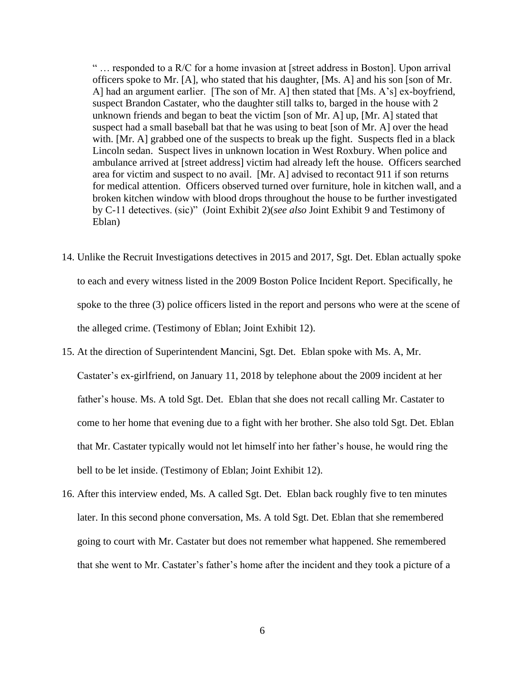" … responded to a R/C for a home invasion at [street address in Boston]. Upon arrival officers spoke to Mr. [A], who stated that his daughter, [Ms. A] and his son [son of Mr. A] had an argument earlier. [The son of Mr. A] then stated that [Ms. A's] ex-boyfriend, suspect Brandon Castater, who the daughter still talks to, barged in the house with 2 unknown friends and began to beat the victim [son of Mr. A] up, [Mr. A] stated that suspect had a small baseball bat that he was using to beat [son of Mr. A] over the head with. [Mr. A] grabbed one of the suspects to break up the fight. Suspects fled in a black Lincoln sedan. Suspect lives in unknown location in West Roxbury. When police and ambulance arrived at [street address] victim had already left the house. Officers searched area for victim and suspect to no avail. [Mr. A] advised to recontact 911 if son returns for medical attention. Officers observed turned over furniture, hole in kitchen wall, and a broken kitchen window with blood drops throughout the house to be further investigated by C-11 detectives. (sic)" (Joint Exhibit 2)(*see also* Joint Exhibit 9 and Testimony of Eblan)

- 14. Unlike the Recruit Investigations detectives in 2015 and 2017, Sgt. Det. Eblan actually spoke to each and every witness listed in the 2009 Boston Police Incident Report. Specifically, he spoke to the three (3) police officers listed in the report and persons who were at the scene of the alleged crime. (Testimony of Eblan; Joint Exhibit 12).
- 15. At the direction of Superintendent Mancini, Sgt. Det. Eblan spoke with Ms. A, Mr. Castater's ex-girlfriend, on January 11, 2018 by telephone about the 2009 incident at her father's house. Ms. A told Sgt. Det. Eblan that she does not recall calling Mr. Castater to come to her home that evening due to a fight with her brother. She also told Sgt. Det. Eblan that Mr. Castater typically would not let himself into her father's house, he would ring the bell to be let inside. (Testimony of Eblan; Joint Exhibit 12).
- 16. After this interview ended, Ms. A called Sgt. Det. Eblan back roughly five to ten minutes later. In this second phone conversation, Ms. A told Sgt. Det. Eblan that she remembered going to court with Mr. Castater but does not remember what happened. She remembered that she went to Mr. Castater's father's home after the incident and they took a picture of a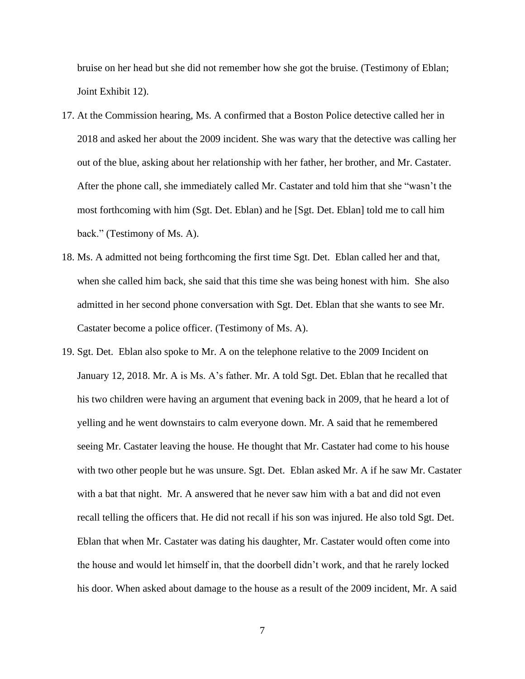bruise on her head but she did not remember how she got the bruise. (Testimony of Eblan; Joint Exhibit 12).

- 17. At the Commission hearing, Ms. A confirmed that a Boston Police detective called her in 2018 and asked her about the 2009 incident. She was wary that the detective was calling her out of the blue, asking about her relationship with her father, her brother, and Mr. Castater. After the phone call, she immediately called Mr. Castater and told him that she "wasn't the most forthcoming with him (Sgt. Det. Eblan) and he [Sgt. Det. Eblan] told me to call him back." (Testimony of Ms. A).
- 18. Ms. A admitted not being forthcoming the first time Sgt. Det. Eblan called her and that, when she called him back, she said that this time she was being honest with him. She also admitted in her second phone conversation with Sgt. Det. Eblan that she wants to see Mr. Castater become a police officer. (Testimony of Ms. A).
- 19. Sgt. Det. Eblan also spoke to Mr. A on the telephone relative to the 2009 Incident on January 12, 2018. Mr. A is Ms. A's father. Mr. A told Sgt. Det. Eblan that he recalled that his two children were having an argument that evening back in 2009, that he heard a lot of yelling and he went downstairs to calm everyone down. Mr. A said that he remembered seeing Mr. Castater leaving the house. He thought that Mr. Castater had come to his house with two other people but he was unsure. Sgt. Det. Eblan asked Mr. A if he saw Mr. Castater with a bat that night. Mr. A answered that he never saw him with a bat and did not even recall telling the officers that. He did not recall if his son was injured. He also told Sgt. Det. Eblan that when Mr. Castater was dating his daughter, Mr. Castater would often come into the house and would let himself in, that the doorbell didn't work, and that he rarely locked his door. When asked about damage to the house as a result of the 2009 incident, Mr. A said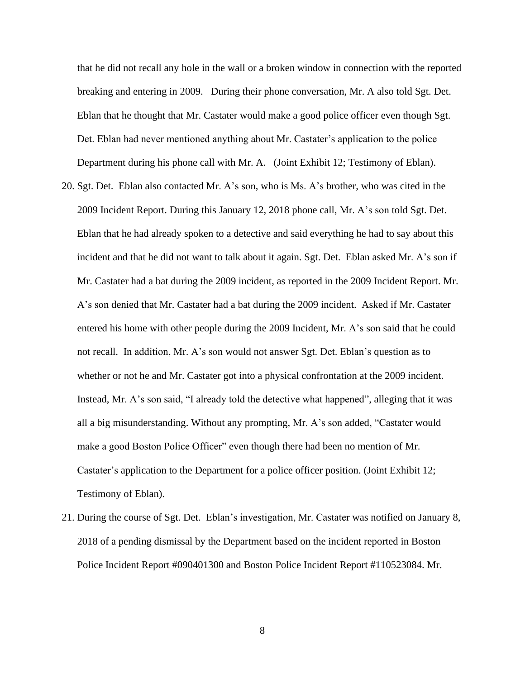that he did not recall any hole in the wall or a broken window in connection with the reported breaking and entering in 2009. During their phone conversation, Mr. A also told Sgt. Det. Eblan that he thought that Mr. Castater would make a good police officer even though Sgt. Det. Eblan had never mentioned anything about Mr. Castater's application to the police Department during his phone call with Mr. A. (Joint Exhibit 12; Testimony of Eblan).

- 20. Sgt. Det. Eblan also contacted Mr. A's son, who is Ms. A's brother, who was cited in the 2009 Incident Report. During this January 12, 2018 phone call, Mr. A's son told Sgt. Det. Eblan that he had already spoken to a detective and said everything he had to say about this incident and that he did not want to talk about it again. Sgt. Det. Eblan asked Mr. A's son if Mr. Castater had a bat during the 2009 incident, as reported in the 2009 Incident Report. Mr. A's son denied that Mr. Castater had a bat during the 2009 incident. Asked if Mr. Castater entered his home with other people during the 2009 Incident, Mr. A's son said that he could not recall. In addition, Mr. A's son would not answer Sgt. Det. Eblan's question as to whether or not he and Mr. Castater got into a physical confrontation at the 2009 incident. Instead, Mr. A's son said, "I already told the detective what happened", alleging that it was all a big misunderstanding. Without any prompting, Mr. A's son added, "Castater would make a good Boston Police Officer" even though there had been no mention of Mr. Castater's application to the Department for a police officer position. (Joint Exhibit 12; Testimony of Eblan).
- 21. During the course of Sgt. Det. Eblan's investigation, Mr. Castater was notified on January 8, 2018 of a pending dismissal by the Department based on the incident reported in Boston Police Incident Report #090401300 and Boston Police Incident Report #110523084. Mr.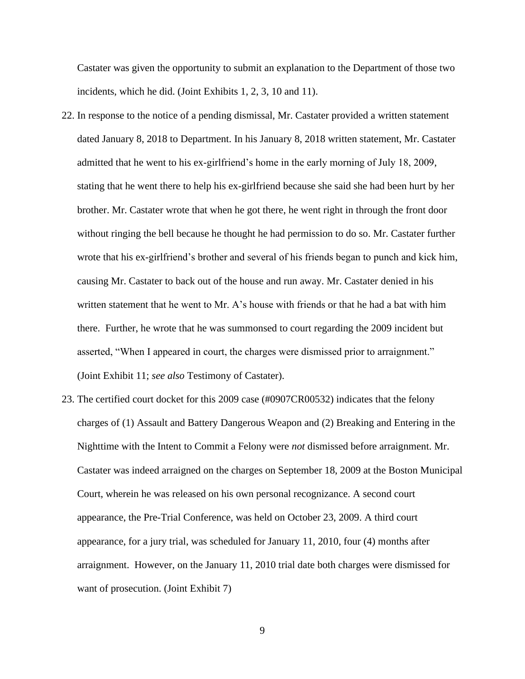Castater was given the opportunity to submit an explanation to the Department of those two incidents, which he did. (Joint Exhibits 1, 2, 3, 10 and 11).

- 22. In response to the notice of a pending dismissal, Mr. Castater provided a written statement dated January 8, 2018 to Department. In his January 8, 2018 written statement, Mr. Castater admitted that he went to his ex-girlfriend's home in the early morning of July 18, 2009, stating that he went there to help his ex-girlfriend because she said she had been hurt by her brother. Mr. Castater wrote that when he got there, he went right in through the front door without ringing the bell because he thought he had permission to do so. Mr. Castater further wrote that his ex-girlfriend's brother and several of his friends began to punch and kick him, causing Mr. Castater to back out of the house and run away. Mr. Castater denied in his written statement that he went to Mr. A's house with friends or that he had a bat with him there. Further, he wrote that he was summonsed to court regarding the 2009 incident but asserted, "When I appeared in court, the charges were dismissed prior to arraignment." (Joint Exhibit 11; *see also* Testimony of Castater).
- 23. The certified court docket for this 2009 case (#0907CR00532) indicates that the felony charges of (1) Assault and Battery Dangerous Weapon and (2) Breaking and Entering in the Nighttime with the Intent to Commit a Felony were *not* dismissed before arraignment. Mr. Castater was indeed arraigned on the charges on September 18, 2009 at the Boston Municipal Court, wherein he was released on his own personal recognizance. A second court appearance, the Pre-Trial Conference, was held on October 23, 2009. A third court appearance, for a jury trial, was scheduled for January 11, 2010, four (4) months after arraignment. However, on the January 11, 2010 trial date both charges were dismissed for want of prosecution. (Joint Exhibit 7)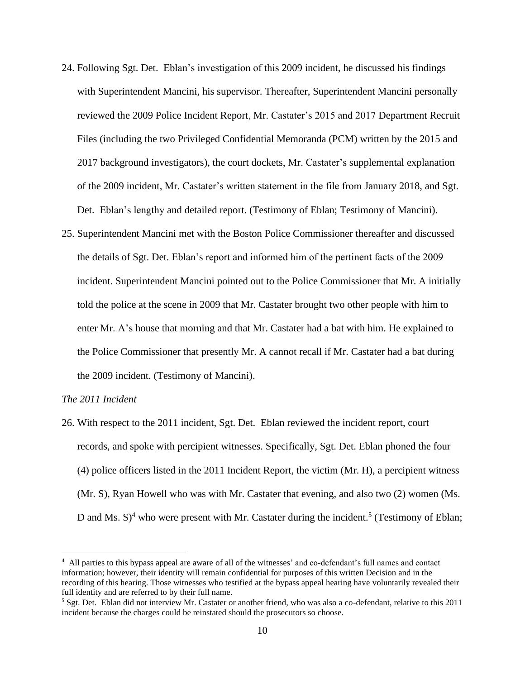- 24. Following Sgt. Det. Eblan's investigation of this 2009 incident, he discussed his findings with Superintendent Mancini, his supervisor. Thereafter, Superintendent Mancini personally reviewed the 2009 Police Incident Report, Mr. Castater's 2015 and 2017 Department Recruit Files (including the two Privileged Confidential Memoranda (PCM) written by the 2015 and 2017 background investigators), the court dockets, Mr. Castater's supplemental explanation of the 2009 incident, Mr. Castater's written statement in the file from January 2018, and Sgt. Det. Eblan's lengthy and detailed report. (Testimony of Eblan; Testimony of Mancini).
- 25. Superintendent Mancini met with the Boston Police Commissioner thereafter and discussed the details of Sgt. Det. Eblan's report and informed him of the pertinent facts of the 2009 incident. Superintendent Mancini pointed out to the Police Commissioner that Mr. A initially told the police at the scene in 2009 that Mr. Castater brought two other people with him to enter Mr. A's house that morning and that Mr. Castater had a bat with him. He explained to the Police Commissioner that presently Mr. A cannot recall if Mr. Castater had a bat during the 2009 incident. (Testimony of Mancini).

### *The 2011 Incident*

26. With respect to the 2011 incident, Sgt. Det. Eblan reviewed the incident report, court records, and spoke with percipient witnesses. Specifically, Sgt. Det. Eblan phoned the four (4) police officers listed in the 2011 Incident Report, the victim (Mr. H), a percipient witness (Mr. S), Ryan Howell who was with Mr. Castater that evening, and also two (2) women (Ms. D and Ms.  $S$ <sup>4</sup> who were present with Mr. Castater during the incident.<sup>5</sup> (Testimony of Eblan;

<sup>4</sup> All parties to this bypass appeal are aware of all of the witnesses' and co-defendant's full names and contact information; however, their identity will remain confidential for purposes of this written Decision and in the recording of this hearing. Those witnesses who testified at the bypass appeal hearing have voluntarily revealed their full identity and are referred to by their full name.

<sup>5</sup> Sgt. Det. Eblan did not interview Mr. Castater or another friend, who was also a co-defendant, relative to this 2011 incident because the charges could be reinstated should the prosecutors so choose.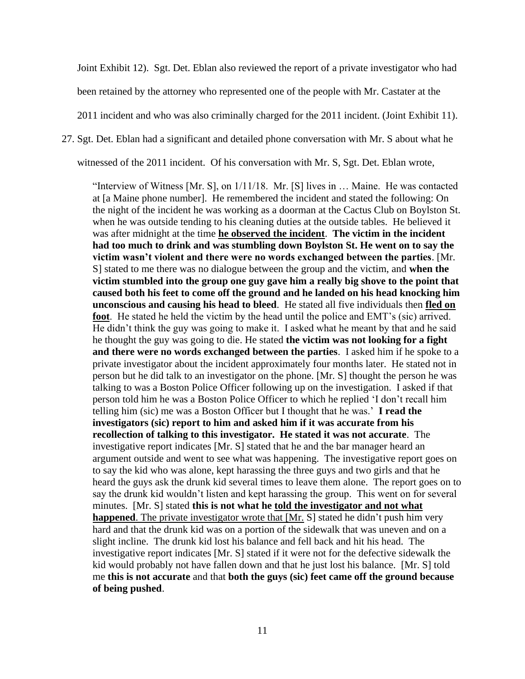Joint Exhibit 12). Sgt. Det. Eblan also reviewed the report of a private investigator who had been retained by the attorney who represented one of the people with Mr. Castater at the 2011 incident and who was also criminally charged for the 2011 incident. (Joint Exhibit 11). 27. Sgt. Det. Eblan had a significant and detailed phone conversation with Mr. S about what he

witnessed of the 2011 incident. Of his conversation with Mr. S, Sgt. Det. Eblan wrote,

"Interview of Witness [Mr. S], on 1/11/18. Mr. [S] lives in … Maine. He was contacted at [a Maine phone number]. He remembered the incident and stated the following: On the night of the incident he was working as a doorman at the Cactus Club on Boylston St. when he was outside tending to his cleaning duties at the outside tables. He believed it was after midnight at the time **he observed the incident**. **The victim in the incident had too much to drink and was stumbling down Boylston St. He went on to say the victim wasn't violent and there were no words exchanged between the parties**. [Mr. S] stated to me there was no dialogue between the group and the victim, and **when the victim stumbled into the group one guy gave him a really big shove to the point that caused both his feet to come off the ground and he landed on his head knocking him unconscious and causing his head to bleed**. He stated all five individuals then **fled on foot**. He stated he held the victim by the head until the police and EMT's (sic) arrived. He didn't think the guy was going to make it. I asked what he meant by that and he said he thought the guy was going to die. He stated **the victim was not looking for a fight and there were no words exchanged between the parties**. I asked him if he spoke to a private investigator about the incident approximately four months later. He stated not in person but he did talk to an investigator on the phone. [Mr. S] thought the person he was talking to was a Boston Police Officer following up on the investigation. I asked if that person told him he was a Boston Police Officer to which he replied 'I don't recall him telling him (sic) me was a Boston Officer but I thought that he was.' **I read the investigators (sic) report to him and asked him if it was accurate from his recollection of talking to this investigator. He stated it was not accurate**. The investigative report indicates [Mr. S] stated that he and the bar manager heard an argument outside and went to see what was happening. The investigative report goes on to say the kid who was alone, kept harassing the three guys and two girls and that he heard the guys ask the drunk kid several times to leave them alone. The report goes on to say the drunk kid wouldn't listen and kept harassing the group. This went on for several minutes. [Mr. S] stated **this is not what he told the investigator and not what happened**. The private investigator wrote that [Mr. S] stated he didn't push him very hard and that the drunk kid was on a portion of the sidewalk that was uneven and on a slight incline. The drunk kid lost his balance and fell back and hit his head. The investigative report indicates [Mr. S] stated if it were not for the defective sidewalk the kid would probably not have fallen down and that he just lost his balance. [Mr. S] told me **this is not accurate** and that **both the guys (sic) feet came off the ground because of being pushed**.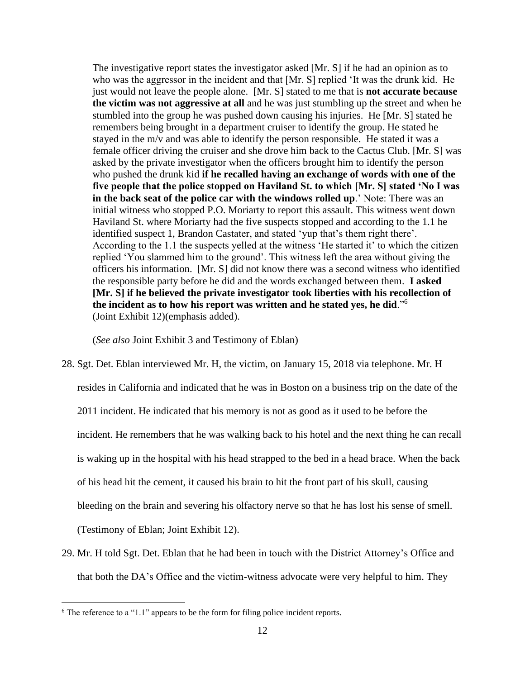The investigative report states the investigator asked [Mr. S] if he had an opinion as to who was the aggressor in the incident and that [Mr. S] replied 'It was the drunk kid. He just would not leave the people alone. [Mr. S] stated to me that is **not accurate because the victim was not aggressive at all** and he was just stumbling up the street and when he stumbled into the group he was pushed down causing his injuries. He [Mr. S] stated he remembers being brought in a department cruiser to identify the group. He stated he stayed in the m/v and was able to identify the person responsible. He stated it was a female officer driving the cruiser and she drove him back to the Cactus Club. [Mr. S] was asked by the private investigator when the officers brought him to identify the person who pushed the drunk kid **if he recalled having an exchange of words with one of the five people that the police stopped on Haviland St. to which [Mr. S] stated 'No I was in the back seat of the police car with the windows rolled up**.' Note: There was an initial witness who stopped P.O. Moriarty to report this assault. This witness went down Haviland St. where Moriarty had the five suspects stopped and according to the 1.1 he identified suspect 1, Brandon Castater, and stated 'yup that's them right there'. According to the 1.1 the suspects yelled at the witness 'He started it' to which the citizen replied 'You slammed him to the ground'. This witness left the area without giving the officers his information. [Mr. S] did not know there was a second witness who identified the responsible party before he did and the words exchanged between them. **I asked [Mr. S] if he believed the private investigator took liberties with his recollection of the incident as to how his report was written and he stated yes, he did**."<sup>6</sup> (Joint Exhibit 12)(emphasis added).

(*See also* Joint Exhibit 3 and Testimony of Eblan)

- 28. Sgt. Det. Eblan interviewed Mr. H, the victim, on January 15, 2018 via telephone. Mr. H resides in California and indicated that he was in Boston on a business trip on the date of the 2011 incident. He indicated that his memory is not as good as it used to be before the incident. He remembers that he was walking back to his hotel and the next thing he can recall is waking up in the hospital with his head strapped to the bed in a head brace. When the back of his head hit the cement, it caused his brain to hit the front part of his skull, causing bleeding on the brain and severing his olfactory nerve so that he has lost his sense of smell. (Testimony of Eblan; Joint Exhibit 12).
- 29. Mr. H told Sgt. Det. Eblan that he had been in touch with the District Attorney's Office and that both the DA's Office and the victim-witness advocate were very helpful to him. They

<sup>6</sup> The reference to a "1.1" appears to be the form for filing police incident reports.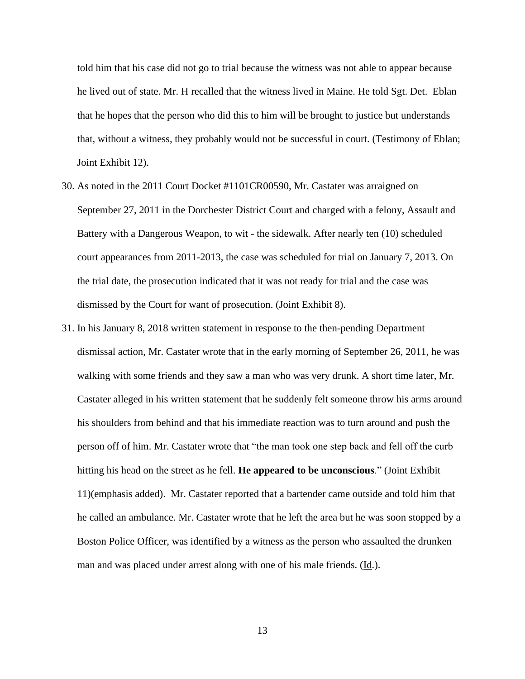told him that his case did not go to trial because the witness was not able to appear because he lived out of state. Mr. H recalled that the witness lived in Maine. He told Sgt. Det. Eblan that he hopes that the person who did this to him will be brought to justice but understands that, without a witness, they probably would not be successful in court. (Testimony of Eblan; Joint Exhibit 12).

- 30. As noted in the 2011 Court Docket #1101CR00590, Mr. Castater was arraigned on September 27, 2011 in the Dorchester District Court and charged with a felony, Assault and Battery with a Dangerous Weapon, to wit - the sidewalk. After nearly ten (10) scheduled court appearances from 2011-2013, the case was scheduled for trial on January 7, 2013. On the trial date, the prosecution indicated that it was not ready for trial and the case was dismissed by the Court for want of prosecution. (Joint Exhibit 8).
- 31. In his January 8, 2018 written statement in response to the then-pending Department dismissal action, Mr. Castater wrote that in the early morning of September 26, 2011, he was walking with some friends and they saw a man who was very drunk. A short time later, Mr. Castater alleged in his written statement that he suddenly felt someone throw his arms around his shoulders from behind and that his immediate reaction was to turn around and push the person off of him. Mr. Castater wrote that "the man took one step back and fell off the curb hitting his head on the street as he fell. **He appeared to be unconscious**." (Joint Exhibit 11)(emphasis added). Mr. Castater reported that a bartender came outside and told him that he called an ambulance. Mr. Castater wrote that he left the area but he was soon stopped by a Boston Police Officer, was identified by a witness as the person who assaulted the drunken man and was placed under arrest along with one of his male friends. (Id.).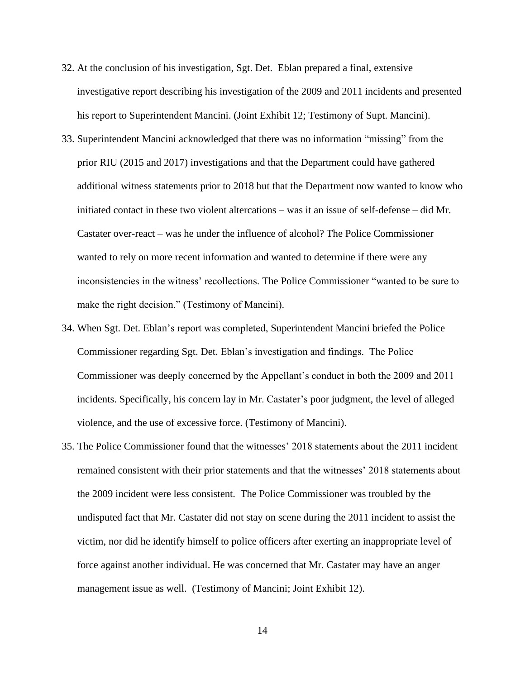- 32. At the conclusion of his investigation, Sgt. Det. Eblan prepared a final, extensive investigative report describing his investigation of the 2009 and 2011 incidents and presented his report to Superintendent Mancini. (Joint Exhibit 12; Testimony of Supt. Mancini).
- 33. Superintendent Mancini acknowledged that there was no information "missing" from the prior RIU (2015 and 2017) investigations and that the Department could have gathered additional witness statements prior to 2018 but that the Department now wanted to know who initiated contact in these two violent altercations – was it an issue of self-defense – did Mr. Castater over-react – was he under the influence of alcohol? The Police Commissioner wanted to rely on more recent information and wanted to determine if there were any inconsistencies in the witness' recollections. The Police Commissioner "wanted to be sure to make the right decision." (Testimony of Mancini).
- 34. When Sgt. Det. Eblan's report was completed, Superintendent Mancini briefed the Police Commissioner regarding Sgt. Det. Eblan's investigation and findings. The Police Commissioner was deeply concerned by the Appellant's conduct in both the 2009 and 2011 incidents. Specifically, his concern lay in Mr. Castater's poor judgment, the level of alleged violence, and the use of excessive force. (Testimony of Mancini).
- 35. The Police Commissioner found that the witnesses' 2018 statements about the 2011 incident remained consistent with their prior statements and that the witnesses' 2018 statements about the 2009 incident were less consistent. The Police Commissioner was troubled by the undisputed fact that Mr. Castater did not stay on scene during the 2011 incident to assist the victim, nor did he identify himself to police officers after exerting an inappropriate level of force against another individual. He was concerned that Mr. Castater may have an anger management issue as well. (Testimony of Mancini; Joint Exhibit 12).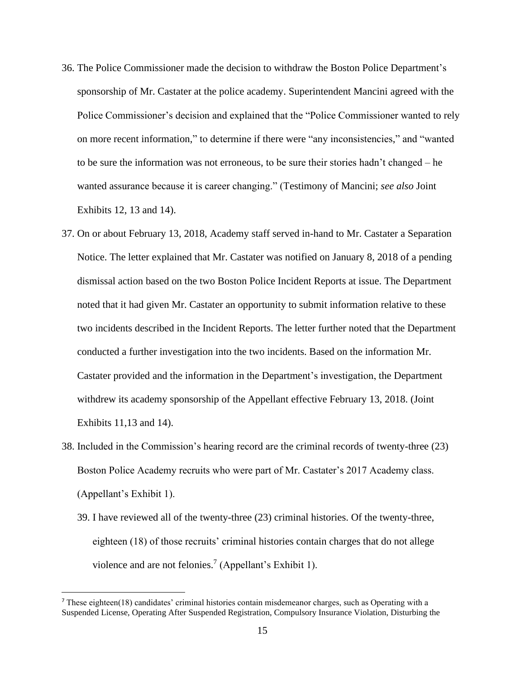- 36. The Police Commissioner made the decision to withdraw the Boston Police Department's sponsorship of Mr. Castater at the police academy. Superintendent Mancini agreed with the Police Commissioner's decision and explained that the "Police Commissioner wanted to rely on more recent information," to determine if there were "any inconsistencies," and "wanted to be sure the information was not erroneous, to be sure their stories hadn't changed – he wanted assurance because it is career changing." (Testimony of Mancini; *see also* Joint Exhibits 12, 13 and 14).
- 37. On or about February 13, 2018, Academy staff served in-hand to Mr. Castater a Separation Notice. The letter explained that Mr. Castater was notified on January 8, 2018 of a pending dismissal action based on the two Boston Police Incident Reports at issue. The Department noted that it had given Mr. Castater an opportunity to submit information relative to these two incidents described in the Incident Reports. The letter further noted that the Department conducted a further investigation into the two incidents. Based on the information Mr. Castater provided and the information in the Department's investigation, the Department withdrew its academy sponsorship of the Appellant effective February 13, 2018. (Joint Exhibits 11,13 and 14).
- 38. Included in the Commission's hearing record are the criminal records of twenty-three (23) Boston Police Academy recruits who were part of Mr. Castater's 2017 Academy class. (Appellant's Exhibit 1).
	- 39. I have reviewed all of the twenty-three (23) criminal histories. Of the twenty-three, eighteen (18) of those recruits' criminal histories contain charges that do not allege violence and are not felonies.<sup>7</sup> (Appellant's Exhibit 1).

 $^7$  These eighteen(18) candidates' criminal histories contain misdemeanor charges, such as Operating with a Suspended License, Operating After Suspended Registration, Compulsory Insurance Violation, Disturbing the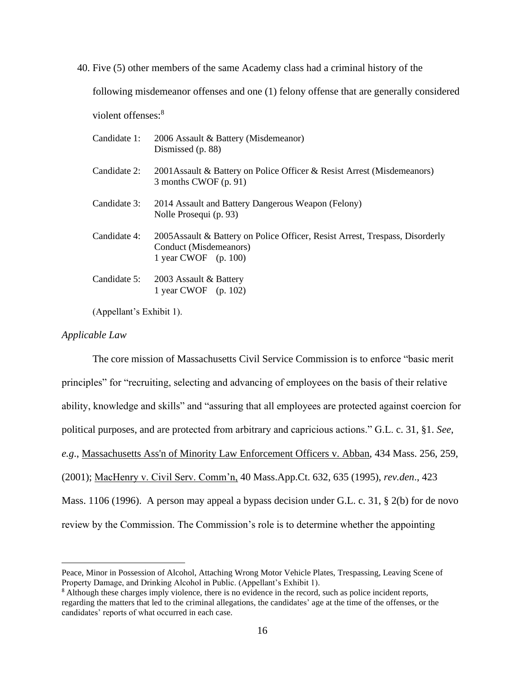40. Five (5) other members of the same Academy class had a criminal history of the

following misdemeanor offenses and one (1) felony offense that are generally considered

violent offenses:<sup>8</sup>

|              | Candidate 1: 2006 Assault & Battery (Misdemeanor)<br>Dismissed (p. 88)                                                            |
|--------------|-----------------------------------------------------------------------------------------------------------------------------------|
| Candidate 2: | 2001 Assault & Battery on Police Officer & Resist Arrest (Misdemeanors)<br>3 months CWOF (p. 91)                                  |
| Candidate 3: | 2014 Assault and Battery Dangerous Weapon (Felony)<br>Nolle Prosequi (p. 93)                                                      |
| Candidate 4: | 2005 Assault & Battery on Police Officer, Resist Arrest, Trespass, Disorderly<br>Conduct (Misdemeanors)<br>1 year CWOF $(p. 100)$ |
|              | Candidate 5: 2003 Assault & Battery<br>1 year CWOF $(p. 102)$                                                                     |

(Appellant's Exhibit 1).

### *Applicable Law*

The core mission of Massachusetts Civil Service Commission is to enforce "basic merit principles" for "recruiting, selecting and advancing of employees on the basis of their relative ability, knowledge and skills" and "assuring that all employees are protected against coercion for political purposes, and are protected from arbitrary and capricious actions." G.L. c. 31, §1. *See*, *e.g*., Massachusetts Ass'n of Minority Law Enforcement Officers v. Abban, 434 Mass. 256, 259, (2001); MacHenry v. Civil Serv. Comm'n, 40 Mass.App.Ct. 632, 635 (1995), *rev.den*., 423 Mass. 1106 (1996). A person may appeal a bypass decision under G.L. c. 31, § 2(b) for de novo review by the Commission. The Commission's role is to determine whether the appointing

Peace, Minor in Possession of Alcohol, Attaching Wrong Motor Vehicle Plates, Trespassing, Leaving Scene of Property Damage, and Drinking Alcohol in Public. (Appellant's Exhibit 1).

<sup>&</sup>lt;sup>8</sup> Although these charges imply violence, there is no evidence in the record, such as police incident reports, regarding the matters that led to the criminal allegations, the candidates' age at the time of the offenses, or the candidates' reports of what occurred in each case.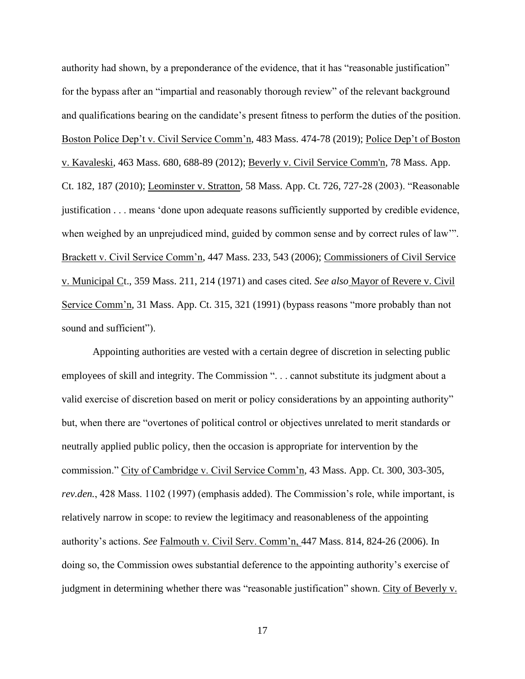authority had shown, by a preponderance of the evidence, that it has "reasonable justification" for the bypass after an "impartial and reasonably thorough review" of the relevant background and qualifications bearing on the candidate's present fitness to perform the duties of the position. Boston Police Dep't v. Civil Service Comm'n, 483 Mass. 474-78 (2019); Police Dep't of Boston v. Kavaleski, 463 Mass. 680, 688-89 (2012); Beverly v. Civil Service Comm'n, 78 Mass. App. Ct. 182, 187 (2010); Leominster v. Stratton, 58 Mass. App. Ct. 726, 727-28 (2003). "Reasonable justification . . . means 'done upon adequate reasons sufficiently supported by credible evidence, when weighed by an unprejudiced mind, guided by common sense and by correct rules of law'". Brackett v. Civil Service Comm'n, 447 Mass. 233, 543 (2006); Commissioners of Civil Service v. Municipal Ct., 359 Mass. 211, 214 (1971) and cases cited. *See also* Mayor of Revere v. Civil Service Comm'n, 31 Mass. App. Ct. 315, 321 (1991) (bypass reasons "more probably than not sound and sufficient").

Appointing authorities are vested with a certain degree of discretion in selecting public employees of skill and integrity. The Commission ". . . cannot substitute its judgment about a valid exercise of discretion based on merit or policy considerations by an appointing authority" but, when there are "overtones of political control or objectives unrelated to merit standards or neutrally applied public policy, then the occasion is appropriate for intervention by the commission." City of Cambridge v. Civil Service Comm'n, 43 Mass. App. Ct. 300, 303-305, *rev.den.*, 428 Mass. 1102 (1997) (emphasis added). The Commission's role, while important, is relatively narrow in scope: to review the legitimacy and reasonableness of the appointing authority's actions. *See* Falmouth v. Civil Serv. Comm'n, 447 Mass. 814, 824-26 (2006). In doing so, the Commission owes substantial deference to the appointing authority's exercise of judgment in determining whether there was "reasonable justification" shown. City of Beverly v.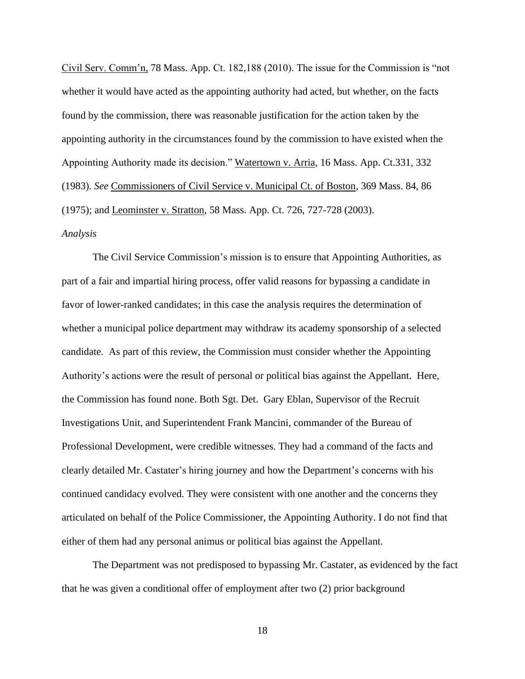Civil Serv. Comm'n, 78 Mass. App. Ct. 182,188 (2010). The issue for the Commission is "not whether it would have acted as the appointing authority had acted, but whether, on the facts found by the commission, there was reasonable justification for the action taken by the appointing authority in the circumstances found by the commission to have existed when the Appointing Authority made its decision." Watertown v. Arria, 16 Mass. App. Ct.331, 332 (1983). *See* Commissioners of Civil Service v. Municipal Ct. of Boston, 369 Mass. 84, 86 (1975); and Leominster v. Stratton, 58 Mass. App. Ct. 726, 727-728 (2003). *Analysis*

The Civil Service Commission's mission is to ensure that Appointing Authorities, as part of a fair and impartial hiring process, offer valid reasons for bypassing a candidate in favor of lower-ranked candidates; in this case the analysis requires the determination of whether a municipal police department may withdraw its academy sponsorship of a selected candidate. As part of this review, the Commission must consider whether the Appointing Authority's actions were the result of personal or political bias against the Appellant. Here, the Commission has found none. Both Sgt. Det. Gary Eblan, Supervisor of the Recruit Investigations Unit, and Superintendent Frank Mancini, commander of the Bureau of Professional Development, were credible witnesses. They had a command of the facts and clearly detailed Mr. Castater's hiring journey and how the Department's concerns with his continued candidacy evolved. They were consistent with one another and the concerns they articulated on behalf of the Police Commissioner, the Appointing Authority. I do not find that either of them had any personal animus or political bias against the Appellant.

The Department was not predisposed to bypassing Mr. Castater, as evidenced by the fact that he was given a conditional offer of employment after two (2) prior background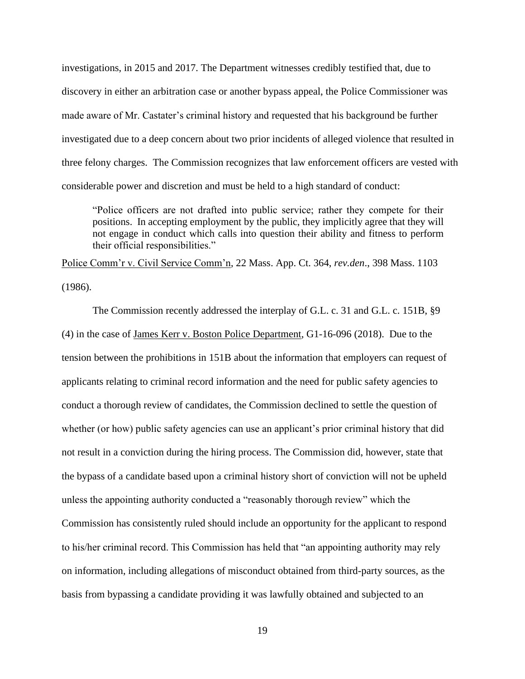investigations, in 2015 and 2017. The Department witnesses credibly testified that, due to discovery in either an arbitration case or another bypass appeal, the Police Commissioner was made aware of Mr. Castater's criminal history and requested that his background be further investigated due to a deep concern about two prior incidents of alleged violence that resulted in three felony charges. The Commission recognizes that law enforcement officers are vested with considerable power and discretion and must be held to a high standard of conduct:

"Police officers are not drafted into public service; rather they compete for their positions. In accepting employment by the public, they implicitly agree that they will not engage in conduct which calls into question their ability and fitness to perform their official responsibilities."

Police Comm'r v. Civil Service Comm'n, 22 Mass. App. Ct. 364, *rev.den*., 398 Mass. 1103 (1986).

The Commission recently addressed the interplay of G.L. c. 31 and G.L. c. 151B, §9 (4) in the case of James Kerr v. Boston Police Department, G1-16-096 (2018). Due to the tension between the prohibitions in 151B about the information that employers can request of applicants relating to criminal record information and the need for public safety agencies to conduct a thorough review of candidates, the Commission declined to settle the question of whether (or how) public safety agencies can use an applicant's prior criminal history that did not result in a conviction during the hiring process. The Commission did, however, state that the bypass of a candidate based upon a criminal history short of conviction will not be upheld unless the appointing authority conducted a "reasonably thorough review" which the Commission has consistently ruled should include an opportunity for the applicant to respond to his/her criminal record. This Commission has held that "an appointing authority may rely on information, including allegations of misconduct obtained from third-party sources, as the basis from bypassing a candidate providing it was lawfully obtained and subjected to an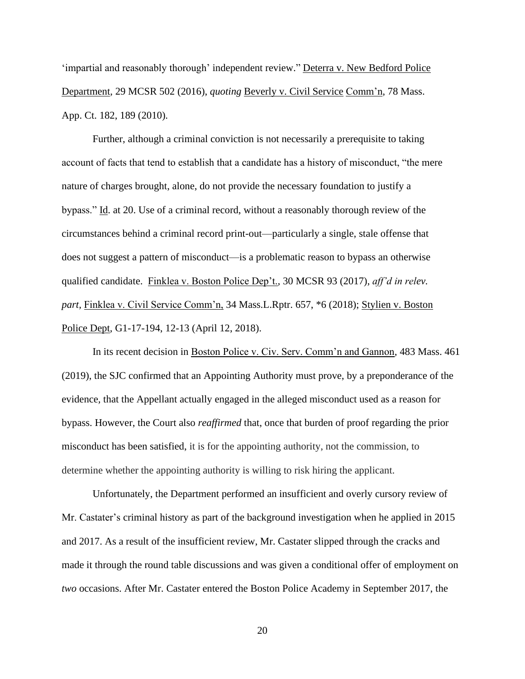'impartial and reasonably thorough' independent review." Deterra v. New Bedford Police Department*,* 29 MCSR 502 (2016), *quoting* Beverly v. Civil Service Comm'n, 78 Mass. App. Ct. 182, 189 (2010).

Further, although a criminal conviction is not necessarily a prerequisite to taking account of facts that tend to establish that a candidate has a history of misconduct, "the mere nature of charges brought, alone, do not provide the necessary foundation to justify a bypass." Id. at 20. Use of a criminal record, without a reasonably thorough review of the circumstances behind a criminal record print-out—particularly a single, stale offense that does not suggest a pattern of misconduct—is a problematic reason to bypass an otherwise qualified candidate. Finklea v. Boston Police Dep't.*,* 30 MCSR 93 (2017), *aff'd in relev. part,* Finklea v. Civil Service Comm'n, 34 Mass.L.Rptr. 657, \*6 (2018); Stylien v. Boston Police Dept*,* G1-17-194, 12-13 (April 12, 2018).

In its recent decision in Boston Police v. Civ. Serv. Comm'n and Gannon, 483 Mass. 461 (2019), the SJC confirmed that an Appointing Authority must prove, by a preponderance of the evidence*,* that the Appellant actually engaged in the alleged misconduct used as a reason for bypass. However, the Court also *reaffirmed* that, once that burden of proof regarding the prior misconduct has been satisfied, it is for the appointing authority, not the commission, to determine whether the appointing authority is willing to risk hiring the applicant.

Unfortunately, the Department performed an insufficient and overly cursory review of Mr. Castater's criminal history as part of the background investigation when he applied in 2015 and 2017. As a result of the insufficient review, Mr. Castater slipped through the cracks and made it through the round table discussions and was given a conditional offer of employment on *two* occasions. After Mr. Castater entered the Boston Police Academy in September 2017, the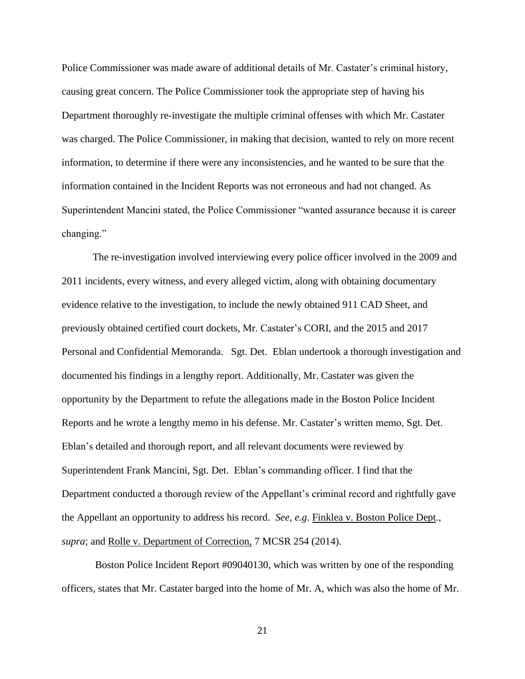Police Commissioner was made aware of additional details of Mr. Castater's criminal history, causing great concern. The Police Commissioner took the appropriate step of having his Department thoroughly re-investigate the multiple criminal offenses with which Mr. Castater was charged. The Police Commissioner, in making that decision, wanted to rely on more recent information, to determine if there were any inconsistencies, and he wanted to be sure that the information contained in the Incident Reports was not erroneous and had not changed. As Superintendent Mancini stated, the Police Commissioner "wanted assurance because it is career changing."

The re-investigation involved interviewing every police officer involved in the 2009 and 2011 incidents, every witness, and every alleged victim, along with obtaining documentary evidence relative to the investigation, to include the newly obtained 911 CAD Sheet, and previously obtained certified court dockets, Mr. Castater's CORI, and the 2015 and 2017 Personal and Confidential Memoranda. Sgt. Det. Eblan undertook a thorough investigation and documented his findings in a lengthy report. Additionally, Mr. Castater was given the opportunity by the Department to refute the allegations made in the Boston Police Incident Reports and he wrote a lengthy memo in his defense. Mr. Castater's written memo, Sgt. Det. Eblan's detailed and thorough report, and all relevant documents were reviewed by Superintendent Frank Mancini, Sgt. Det. Eblan's commanding officer. I find that the Department conducted a thorough review of the Appellant's criminal record and rightfully gave the Appellant an opportunity to address his record. *See, e.g.* Finklea v. Boston Police Dept*.*, *supra*; and <u>Rolle v. Department of Correction</u>, 7 MCSR 254 (2014).

Boston Police Incident Report #09040130, which was written by one of the responding officers, states that Mr. Castater barged into the home of Mr. A, which was also the home of Mr.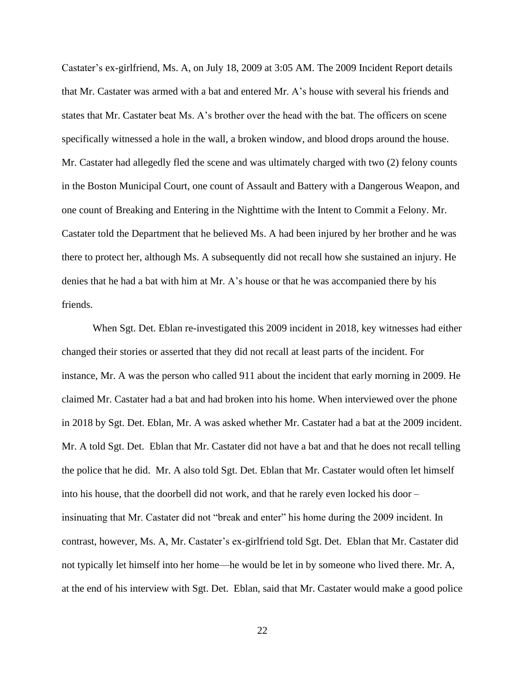Castater's ex-girlfriend, Ms. A, on July 18, 2009 at 3:05 AM. The 2009 Incident Report details that Mr. Castater was armed with a bat and entered Mr. A's house with several his friends and states that Mr. Castater beat Ms. A's brother over the head with the bat. The officers on scene specifically witnessed a hole in the wall, a broken window, and blood drops around the house. Mr. Castater had allegedly fled the scene and was ultimately charged with two (2) felony counts in the Boston Municipal Court, one count of Assault and Battery with a Dangerous Weapon, and one count of Breaking and Entering in the Nighttime with the Intent to Commit a Felony. Mr. Castater told the Department that he believed Ms. A had been injured by her brother and he was there to protect her, although Ms. A subsequently did not recall how she sustained an injury. He denies that he had a bat with him at Mr. A's house or that he was accompanied there by his friends.

When Sgt. Det. Eblan re-investigated this 2009 incident in 2018, key witnesses had either changed their stories or asserted that they did not recall at least parts of the incident. For instance, Mr. A was the person who called 911 about the incident that early morning in 2009. He claimed Mr. Castater had a bat and had broken into his home. When interviewed over the phone in 2018 by Sgt. Det. Eblan, Mr. A was asked whether Mr. Castater had a bat at the 2009 incident. Mr. A told Sgt. Det. Eblan that Mr. Castater did not have a bat and that he does not recall telling the police that he did. Mr. A also told Sgt. Det. Eblan that Mr. Castater would often let himself into his house, that the doorbell did not work, and that he rarely even locked his door – insinuating that Mr. Castater did not "break and enter" his home during the 2009 incident. In contrast, however, Ms. A, Mr. Castater's ex-girlfriend told Sgt. Det. Eblan that Mr. Castater did not typically let himself into her home—he would be let in by someone who lived there. Mr. A, at the end of his interview with Sgt. Det. Eblan, said that Mr. Castater would make a good police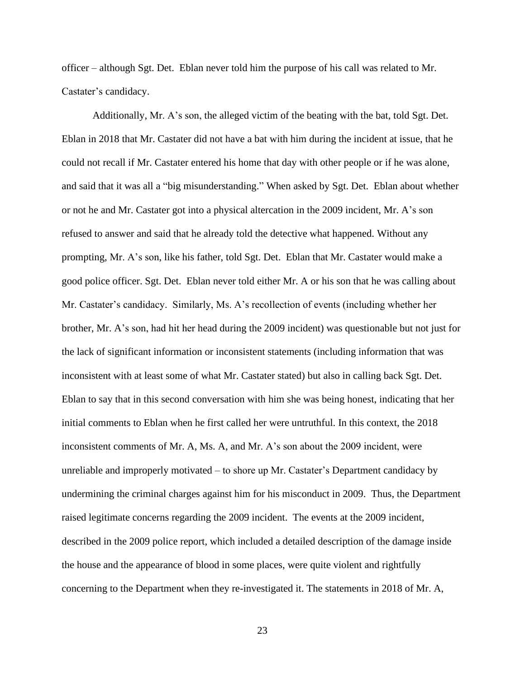officer – although Sgt. Det. Eblan never told him the purpose of his call was related to Mr. Castater's candidacy.

Additionally, Mr. A's son, the alleged victim of the beating with the bat, told Sgt. Det. Eblan in 2018 that Mr. Castater did not have a bat with him during the incident at issue, that he could not recall if Mr. Castater entered his home that day with other people or if he was alone, and said that it was all a "big misunderstanding." When asked by Sgt. Det. Eblan about whether or not he and Mr. Castater got into a physical altercation in the 2009 incident, Mr. A's son refused to answer and said that he already told the detective what happened. Without any prompting, Mr. A's son, like his father, told Sgt. Det. Eblan that Mr. Castater would make a good police officer. Sgt. Det. Eblan never told either Mr. A or his son that he was calling about Mr. Castater's candidacy. Similarly, Ms. A's recollection of events (including whether her brother, Mr. A's son, had hit her head during the 2009 incident) was questionable but not just for the lack of significant information or inconsistent statements (including information that was inconsistent with at least some of what Mr. Castater stated) but also in calling back Sgt. Det. Eblan to say that in this second conversation with him she was being honest, indicating that her initial comments to Eblan when he first called her were untruthful. In this context, the 2018 inconsistent comments of Mr. A, Ms. A, and Mr. A's son about the 2009 incident, were unreliable and improperly motivated – to shore up Mr. Castater's Department candidacy by undermining the criminal charges against him for his misconduct in 2009. Thus, the Department raised legitimate concerns regarding the 2009 incident. The events at the 2009 incident, described in the 2009 police report, which included a detailed description of the damage inside the house and the appearance of blood in some places, were quite violent and rightfully concerning to the Department when they re-investigated it. The statements in 2018 of Mr. A,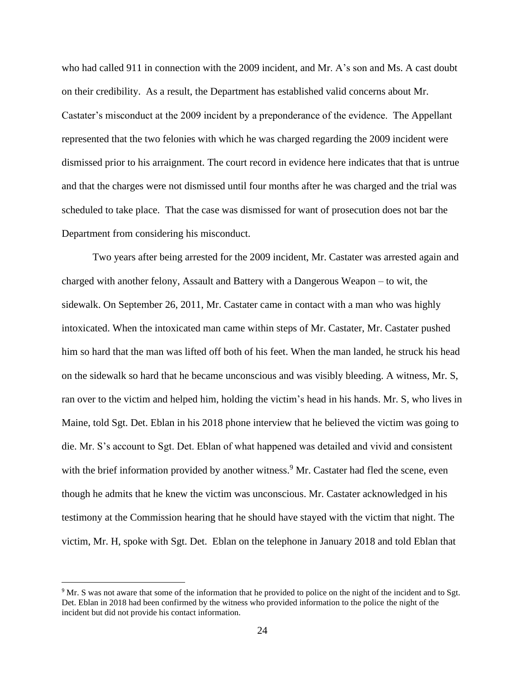who had called 911 in connection with the 2009 incident, and Mr. A's son and Ms. A cast doubt on their credibility. As a result, the Department has established valid concerns about Mr. Castater's misconduct at the 2009 incident by a preponderance of the evidence. The Appellant represented that the two felonies with which he was charged regarding the 2009 incident were dismissed prior to his arraignment. The court record in evidence here indicates that that is untrue and that the charges were not dismissed until four months after he was charged and the trial was scheduled to take place. That the case was dismissed for want of prosecution does not bar the Department from considering his misconduct.

Two years after being arrested for the 2009 incident, Mr. Castater was arrested again and charged with another felony, Assault and Battery with a Dangerous Weapon – to wit, the sidewalk. On September 26, 2011, Mr. Castater came in contact with a man who was highly intoxicated. When the intoxicated man came within steps of Mr. Castater, Mr. Castater pushed him so hard that the man was lifted off both of his feet. When the man landed, he struck his head on the sidewalk so hard that he became unconscious and was visibly bleeding. A witness, Mr. S, ran over to the victim and helped him, holding the victim's head in his hands. Mr. S, who lives in Maine, told Sgt. Det. Eblan in his 2018 phone interview that he believed the victim was going to die. Mr. S's account to Sgt. Det. Eblan of what happened was detailed and vivid and consistent with the brief information provided by another witness.<sup>9</sup> Mr. Castater had fled the scene, even though he admits that he knew the victim was unconscious. Mr. Castater acknowledged in his testimony at the Commission hearing that he should have stayed with the victim that night. The victim, Mr. H, spoke with Sgt. Det. Eblan on the telephone in January 2018 and told Eblan that

<sup>&</sup>lt;sup>9</sup> Mr. S was not aware that some of the information that he provided to police on the night of the incident and to Sgt. Det. Eblan in 2018 had been confirmed by the witness who provided information to the police the night of the incident but did not provide his contact information.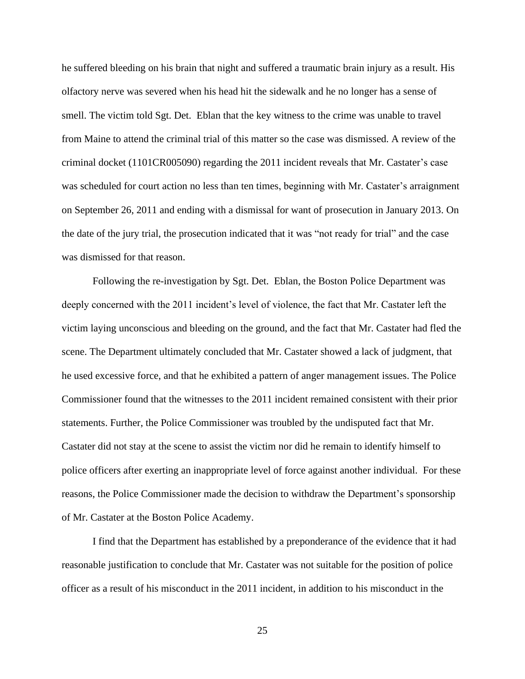he suffered bleeding on his brain that night and suffered a traumatic brain injury as a result. His olfactory nerve was severed when his head hit the sidewalk and he no longer has a sense of smell. The victim told Sgt. Det. Eblan that the key witness to the crime was unable to travel from Maine to attend the criminal trial of this matter so the case was dismissed. A review of the criminal docket (1101CR005090) regarding the 2011 incident reveals that Mr. Castater's case was scheduled for court action no less than ten times, beginning with Mr. Castater's arraignment on September 26, 2011 and ending with a dismissal for want of prosecution in January 2013. On the date of the jury trial, the prosecution indicated that it was "not ready for trial" and the case was dismissed for that reason.

Following the re-investigation by Sgt. Det. Eblan, the Boston Police Department was deeply concerned with the 2011 incident's level of violence, the fact that Mr. Castater left the victim laying unconscious and bleeding on the ground, and the fact that Mr. Castater had fled the scene. The Department ultimately concluded that Mr. Castater showed a lack of judgment, that he used excessive force, and that he exhibited a pattern of anger management issues. The Police Commissioner found that the witnesses to the 2011 incident remained consistent with their prior statements. Further, the Police Commissioner was troubled by the undisputed fact that Mr. Castater did not stay at the scene to assist the victim nor did he remain to identify himself to police officers after exerting an inappropriate level of force against another individual. For these reasons, the Police Commissioner made the decision to withdraw the Department's sponsorship of Mr. Castater at the Boston Police Academy.

I find that the Department has established by a preponderance of the evidence that it had reasonable justification to conclude that Mr. Castater was not suitable for the position of police officer as a result of his misconduct in the 2011 incident, in addition to his misconduct in the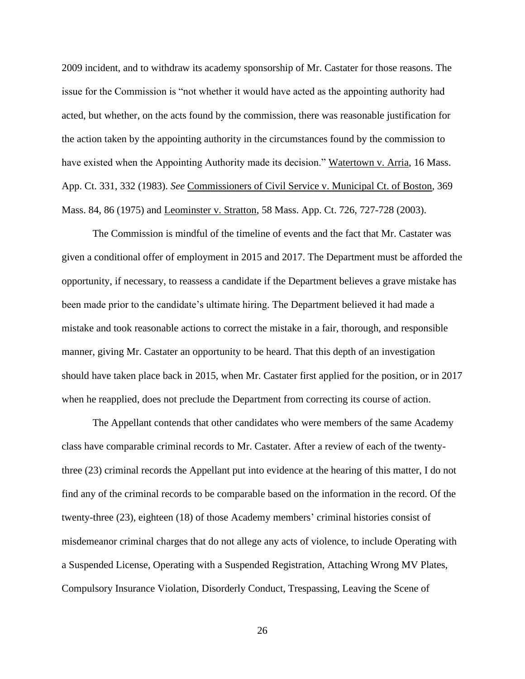2009 incident, and to withdraw its academy sponsorship of Mr. Castater for those reasons. The issue for the Commission is "not whether it would have acted as the appointing authority had acted, but whether, on the acts found by the commission, there was reasonable justification for the action taken by the appointing authority in the circumstances found by the commission to have existed when the Appointing Authority made its decision." Watertown v. Arria, 16 Mass. App. Ct. 331, 332 (1983). *See* Commissioners of Civil Service v. Municipal Ct. of Boston, 369 Mass. 84, 86 (1975) and Leominster v. Stratton, 58 Mass. App. Ct. 726, 727-728 (2003).

The Commission is mindful of the timeline of events and the fact that Mr. Castater was given a conditional offer of employment in 2015 and 2017. The Department must be afforded the opportunity, if necessary, to reassess a candidate if the Department believes a grave mistake has been made prior to the candidate's ultimate hiring. The Department believed it had made a mistake and took reasonable actions to correct the mistake in a fair, thorough, and responsible manner, giving Mr. Castater an opportunity to be heard. That this depth of an investigation should have taken place back in 2015, when Mr. Castater first applied for the position, or in 2017 when he reapplied, does not preclude the Department from correcting its course of action.

The Appellant contends that other candidates who were members of the same Academy class have comparable criminal records to Mr. Castater. After a review of each of the twentythree (23) criminal records the Appellant put into evidence at the hearing of this matter, I do not find any of the criminal records to be comparable based on the information in the record. Of the twenty-three (23), eighteen (18) of those Academy members' criminal histories consist of misdemeanor criminal charges that do not allege any acts of violence, to include Operating with a Suspended License, Operating with a Suspended Registration, Attaching Wrong MV Plates, Compulsory Insurance Violation, Disorderly Conduct, Trespassing, Leaving the Scene of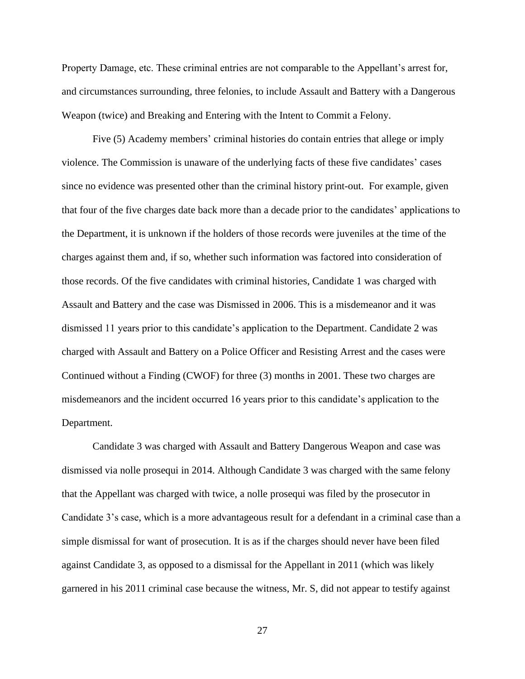Property Damage, etc. These criminal entries are not comparable to the Appellant's arrest for, and circumstances surrounding, three felonies, to include Assault and Battery with a Dangerous Weapon (twice) and Breaking and Entering with the Intent to Commit a Felony.

Five (5) Academy members' criminal histories do contain entries that allege or imply violence. The Commission is unaware of the underlying facts of these five candidates' cases since no evidence was presented other than the criminal history print-out. For example, given that four of the five charges date back more than a decade prior to the candidates' applications to the Department, it is unknown if the holders of those records were juveniles at the time of the charges against them and, if so, whether such information was factored into consideration of those records. Of the five candidates with criminal histories, Candidate 1 was charged with Assault and Battery and the case was Dismissed in 2006. This is a misdemeanor and it was dismissed 11 years prior to this candidate's application to the Department. Candidate 2 was charged with Assault and Battery on a Police Officer and Resisting Arrest and the cases were Continued without a Finding (CWOF) for three (3) months in 2001. These two charges are misdemeanors and the incident occurred 16 years prior to this candidate's application to the Department.

Candidate 3 was charged with Assault and Battery Dangerous Weapon and case was dismissed via nolle prosequi in 2014. Although Candidate 3 was charged with the same felony that the Appellant was charged with twice, a nolle prosequi was filed by the prosecutor in Candidate 3's case, which is a more advantageous result for a defendant in a criminal case than a simple dismissal for want of prosecution. It is as if the charges should never have been filed against Candidate 3, as opposed to a dismissal for the Appellant in 2011 (which was likely garnered in his 2011 criminal case because the witness, Mr. S, did not appear to testify against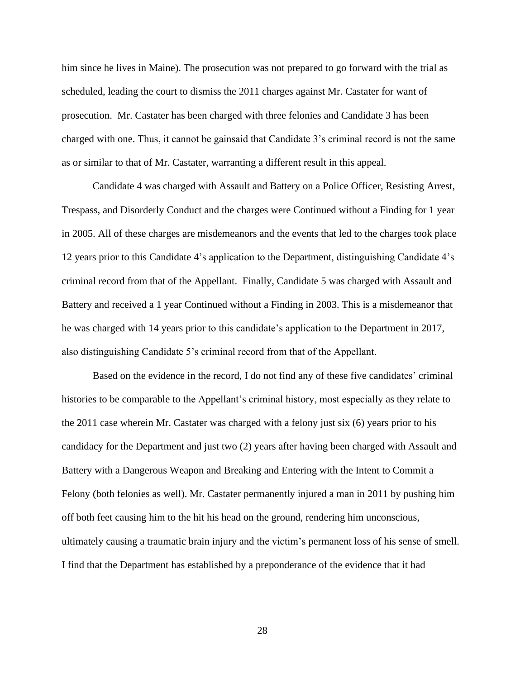him since he lives in Maine). The prosecution was not prepared to go forward with the trial as scheduled, leading the court to dismiss the 2011 charges against Mr. Castater for want of prosecution. Mr. Castater has been charged with three felonies and Candidate 3 has been charged with one. Thus, it cannot be gainsaid that Candidate 3's criminal record is not the same as or similar to that of Mr. Castater, warranting a different result in this appeal.

Candidate 4 was charged with Assault and Battery on a Police Officer, Resisting Arrest, Trespass, and Disorderly Conduct and the charges were Continued without a Finding for 1 year in 2005. All of these charges are misdemeanors and the events that led to the charges took place 12 years prior to this Candidate 4's application to the Department, distinguishing Candidate 4's criminal record from that of the Appellant. Finally, Candidate 5 was charged with Assault and Battery and received a 1 year Continued without a Finding in 2003. This is a misdemeanor that he was charged with 14 years prior to this candidate's application to the Department in 2017, also distinguishing Candidate 5's criminal record from that of the Appellant.

Based on the evidence in the record, I do not find any of these five candidates' criminal histories to be comparable to the Appellant's criminal history, most especially as they relate to the 2011 case wherein Mr. Castater was charged with a felony just six (6) years prior to his candidacy for the Department and just two (2) years after having been charged with Assault and Battery with a Dangerous Weapon and Breaking and Entering with the Intent to Commit a Felony (both felonies as well). Mr. Castater permanently injured a man in 2011 by pushing him off both feet causing him to the hit his head on the ground, rendering him unconscious, ultimately causing a traumatic brain injury and the victim's permanent loss of his sense of smell. I find that the Department has established by a preponderance of the evidence that it had